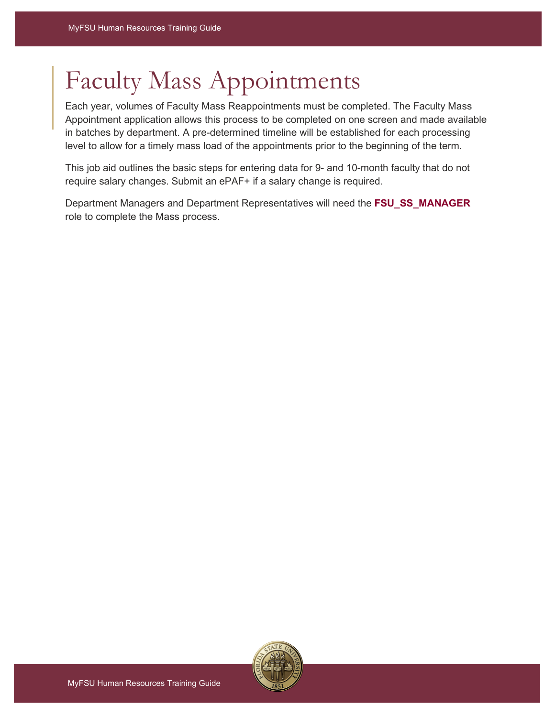## Faculty Mass Appointments

Each year, volumes of Faculty Mass Reappointments must be completed. The Faculty Mass Appointment application allows this process to be completed on one screen and made available in batches by department. A pre-determined timeline will be established for each processing level to allow for a timely mass load of the appointments prior to the beginning of the term.

This job aid outlines the basic steps for entering data for 9- and 10-month faculty that do not require salary changes. Submit an ePAF+ if a salary change is required.

Department Managers and Department Representatives will need the **FSU\_SS\_MANAGER**  role to complete the Mass process.

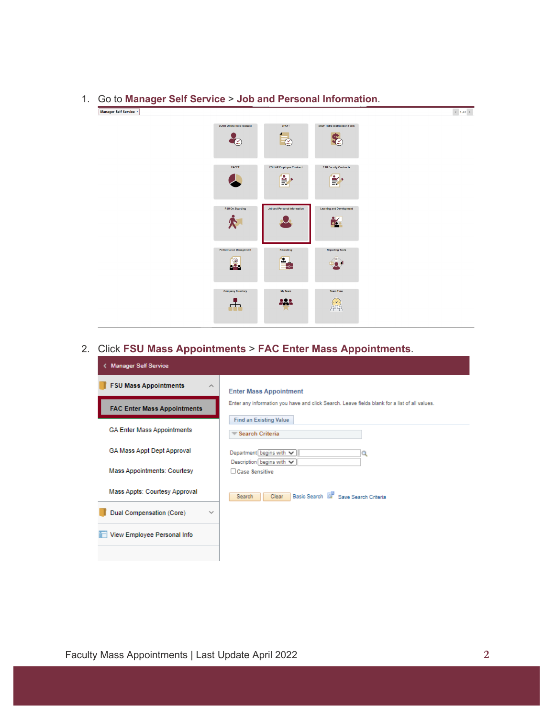

## 1. Go to **Manager Self Service** > **Job and Personal Information**.

## 2. Click **FSU Mass Appointments** > **FAC Enter Mass Appointments**.

| <b>Manager Self Service</b><br>ĸ.        |                                                                                               |  |  |  |  |  |  |
|------------------------------------------|-----------------------------------------------------------------------------------------------|--|--|--|--|--|--|
| <b>FSU Mass Appointments</b><br>ᄉ        | <b>Enter Mass Appointment</b>                                                                 |  |  |  |  |  |  |
| <b>FAC Enter Mass Appointments</b>       | Enter any information you have and click Search. Leave fields blank for a list of all values. |  |  |  |  |  |  |
| <b>GA Enter Mass Appointments</b>        | <b>Find an Existing Value</b><br>Search Criteria                                              |  |  |  |  |  |  |
| GA Mass Appt Dept Approval               | Department begins with $\vee$                                                                 |  |  |  |  |  |  |
| <b>Mass Appointments: Courtesy</b>       | Description begins with $\vee$<br>□ Case Sensitive                                            |  |  |  |  |  |  |
| Mass Appts: Courtesy Approval            | Basic Search & Save Search Criteria<br>Clear<br>Search                                        |  |  |  |  |  |  |
| Dual Compensation (Core)<br>$\checkmark$ |                                                                                               |  |  |  |  |  |  |
| View Employee Personal Info              |                                                                                               |  |  |  |  |  |  |
|                                          |                                                                                               |  |  |  |  |  |  |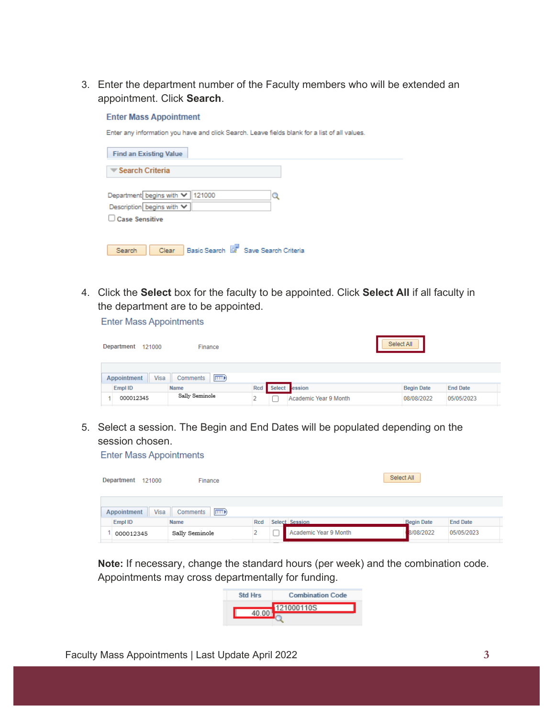3. Enter the department number of the Faculty members who will be extended an appointment. Click **Search**.

## **Enter Mass Appointment**

Enter any information you have and click Search. Leave fields blank for a list of all values.

| <b>Find an Existing Value</b>                                 |
|---------------------------------------------------------------|
| Search Criteria                                               |
| Department begins with V 121000                               |
| Description begins with V<br>Case Sensitive                   |
|                                                               |
| Basic Search <b>E</b> Save Search Criteria<br>Clear<br>Search |

4. Click the **Select** box for the faculty to be appointed. Click **Select All** if all faculty in the department are to be appointed.

**Enter Mass Appointments** 

| <b>Department</b><br>121000 | Finance               |            |               |                       | Select All        |                 |
|-----------------------------|-----------------------|------------|---------------|-----------------------|-------------------|-----------------|
| Visa<br>Appointment         | $\ket{m}$<br>Comments |            |               |                       |                   |                 |
| Empl ID                     | <b>Name</b>           | <b>Rcd</b> | <b>Select</b> | tession               | <b>Begin Date</b> | <b>End Date</b> |
| 000012345                   | Sally Seminole        |            |               | Academic Year 9 Month | 08/08/2022        | 05/05/2023      |

5. Select a session. The Begin and End Dates will be populated depending on the session chosen.

**Enter Mass Appointments** 

| Department  | 121000 | Finance             |            |                       | Select All        |                 |
|-------------|--------|---------------------|------------|-----------------------|-------------------|-----------------|
| Appointment | Visa   | $E = 0$<br>Comments |            |                       |                   |                 |
| Empl ID     |        | <b>Name</b>         | <b>Rcd</b> | Select Session        | <b>Begin Date</b> | <b>End Date</b> |
| 000012345   |        | Sally Seminole      |            | Academic Year 9 Month | 8/08/2022         | 05/05/2023      |

**Note:** If necessary, change the standard hours (per week) and the combination code. Appointments may cross departmentally for funding.

| Std Hrs | <b>Combination Code</b> |
|---------|-------------------------|
| 40.00   | 121000110S              |
|         |                         |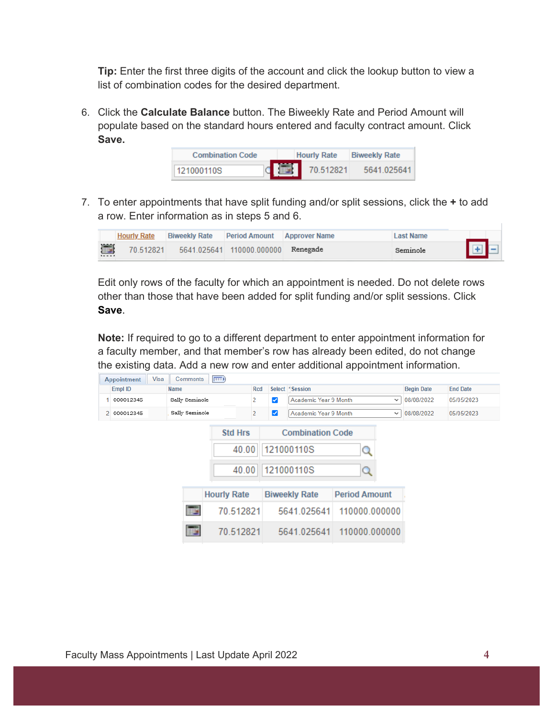**Tip:** Enter the first three digits of the account and click the lookup button to view a list of combination codes for the desired department.

6. Click the **Calculate Balance** button. The Biweekly Rate and Period Amount will populate based on the standard hours entered and faculty contract amount. Click **Save.**



7. To enter appointments that have split funding and/or split sessions, click the **+** to add a row. Enter information as in steps 5 and 6.



Edit only rows of the faculty for which an appointment is needed. Do not delete rows other than those that have been added for split funding and/or split sessions. Click **Save**.

**Note:** If required to go to a different department to enter appointment information for a faculty member, and that member's row has already been edited, do not change the existing data. Add a new row and enter additional appointment information.